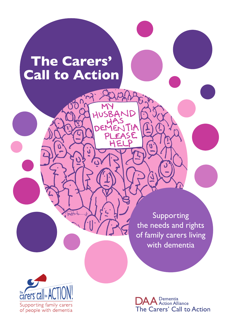# **The Carers' Call to Action**

HUSE

11

Supporting the needs and rights of family carers living with dementia



Dementia<br>Action Alliance The Carers' Call to Action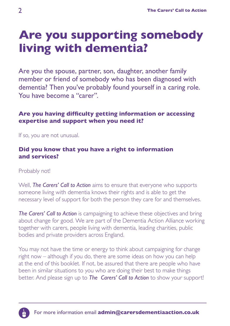## **Are you supporting somebody living with dementia?**

Are you the spouse, partner, son, daughter, another family member or friend of somebody who has been diagnosed with dementia? Then you've probably found yourself in a caring role. You have become a "carer".

#### **Are you having difficulty getting information or accessing expertise and support when you need it?**

If so, you are not unusual.

#### **Did you know that you have a right to information and services?**

#### Probably not!

Well, *The Carers' Call to Action* aims to ensure that everyone who supports someone living with dementia knows their rights and is able to get the necessary level of support for both the person they care for and themselves.

*The Carers' Call to Action* is campaigning to achieve these objectives and bring about change for good. We are part of the Dementia Action Alliance working together with carers, people living with dementia, leading charities, public bodies and private providers across England.

You may not have the time or energy to think about campaigning for change right now – although if you do, there are some ideas on how you can help at the end of this booklet. If not, be assured that there are people who have been in similar situations to you who are doing their best to make things better. And please sign up to *The Carers' Call to Action* to show your support!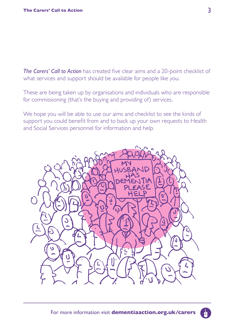*The Carers' Call to Action* has created five clear aims and a 20-point checklist of what services and support should be available for people like you.

These are being taken up by organisations and individuals who are responsible for commissioning (that's the buying and providing of) services.

We hope you will be able to use our aims and checklist to see the kinds of support you could benefit from and to back up your own requests to Health and Social Services personnel for information and help.

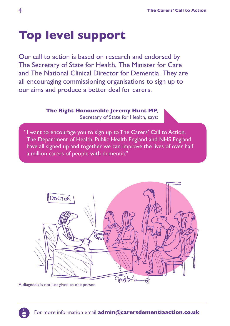# **Top level support**

Our call to action is based on research and endorsed by The Secretary of State for Health, The Minister for Care and The National Clinical Director for Dementia. They are all encouraging commissioning organisations to sign up to our aims and produce a better deal for carers.

> **The Right Honourable Jeremy Hunt MP**, Secretary of State for Health, says:

"I want to encourage you to sign up to The Carers' Call to Action. The Department of Health, Public Health England and NHS England have all signed up and together we can improve the lives of over half a million carers of people with dementia."



A diagnosis is not just given to one person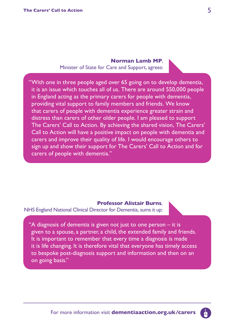#### **Norman Lamb MP**, Minister of State for Care and Support, agrees:

"With one in three people aged over 65 going on to develop dementia, it is an issue which touches all of us. There are around 550,000 people in England acting as the primary carers for people with dementia, providing vital support to family members and friends. We know that carers of people with dementia experience greater strain and distress than carers of other older people. I am pleased to support The Carers' Call to Action. By achieving the shared vision, The Carers' Call to Action will have a positive impact on people with dementia and carers and improve their quality of life. I would encourage others to sign up and show their support for The Carers' Call to Action and for carers of people with dementia."

#### **Professor Alistair Burns**,

NHS England National Clinical Director for Dementia, sums it up:

"A diagnosis of dementia is given not just to one person – it is given to a spouse, a partner, a child, the extended family and friends. It is important to remember that every time a diagnosis is made it is life changing. It is therefore vital that everyone has timely access to bespoke post-diagnosis support and information and then on an on going basis."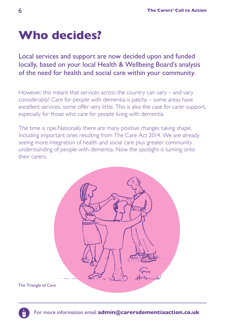## **Who decides?**

Local services and support are now decided upon and funded locally, based on your local Health & Wellbeing Board's analysis of the need for health and social care within your community.

However, this means that services across the country can vary – and vary considerably! Care for people with dementia is patchy – some areas have excellent services, some offer very little. This is also the case for carer support, especially for those who care for people living with dementia

The time is ripe.Nationally there are many positive changes taking shape, including important ones resulting from The Care Act 2014. We are already seeing more integration of health and social care plus greater community understanding of people with dementia. Now the spotlight is turning onto their carers.



For more information email **admin@carersdementiaaction.co.uk**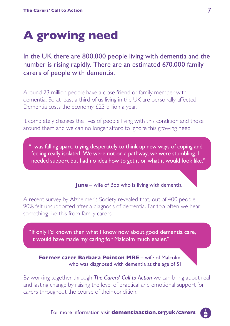# **A growing need**

In the UK there are 800,000 people living with dementia and the number is rising rapidly. There are an estimated 670,000 family carers of people with dementia.

Around 23 million people have a close friend or family member with dementia. So at least a third of us living in the UK are personally affected. Dementia costs the economy £23 billion a year.

It completely changes the lives of people living with this condition and those around them and we can no longer afford to ignore this growing need.

"I was falling apart, trying desperately to think up new ways of coping and feeling really isolated. We were not on a pathway, we were stumbling. I needed support but had no idea how to get it or what it would look like."

**June** – wife of Bob who is living with dementia

A recent survey by Alzheimer's Society revealed that, out of 400 people, 90% felt unsupported after a diagnosis of dementia. Far too often we hear something like this from family carers:

"If only I'd known then what I know now about good dementia care, it would have made my caring for Malcolm much easier."

**Former carer Barbara Pointon MBE** – wife of Malcolm, who was diagnosed with dementia at the age of 51

By working together through *The Carers' Call to Action* we can bring about real and lasting change by raising the level of practical and emotional support for carers throughout the course of their condition.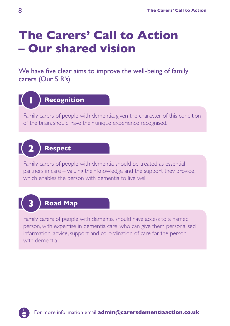# **The Carers' Call to Action – Our shared vision**

We have five clear aims to improve the well-being of family carers (Our 5 R's)



### **Recognition**

Family carers of people with dementia, given the character of this condition of the brain, should have their unique experience recognised.



### **Respect**

Family carers of people with dementia should be treated as essential partners in care – valuing their knowledge and the support they provide, which enables the person with dementia to live well.



### **Road Map**

Family carers of people with dementia should have access to a named person, with expertise in dementia care, who can give them personalised information, advice, support and co-ordination of care for the person with dementia.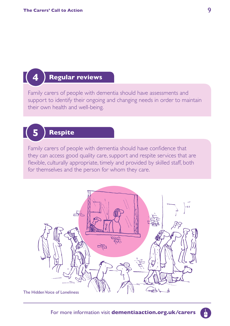**4**

**5**

### **Regular reviews**

Family carers of people with dementia should have assessments and support to identify their ongoing and changing needs in order to maintain their own health and well-being.

### **Respite**

Family carers of people with dementia should have confidence that they can access good quality care, support and respite services that are flexible, culturally appropriate, timely and provided by skilled staff, both for themselves and the person for whom they care.

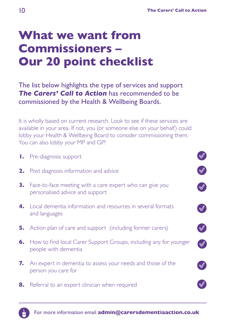# **What we want from Commissioners – Our 20 point checklist**

The list below highlights the type of services and support *The Carers' Call to Action* has recommended to be commissioned by the Health & Wellbeing Boards.

It is wholly based on current research. Look to see if these services are available in your area. If not, you (or someone else on your behalf) could lobby your Health & Wellbeing Board to consider commissioning them. You can also lobby your MP and GP!

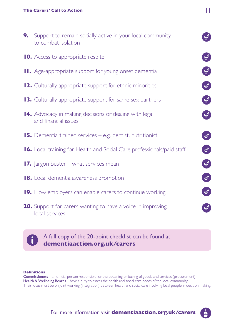**9.** Support to remain socially active in your local community to combat isolation  $\bigvee$ **10.** Access to appropriate respite **11.** Age-appropriate support for young onset dementia **12.** Culturally appropriate support for ethnic minorities **13.** Culturally appropriate support for same sex partners  $\bigotimes$ **14.** Advocacy in making decisions or dealing with legal and financial issues  $\bigotimes$ **15.** Dementia-trained services – e.g. dentist, nutritionist **16.** Local training for Health and Social Care professionals/paid staff **17.** Jargon buster – what services mean **18.** Local dementia awareness promotion **19.** How employers can enable carers to continue working **20.** Support for carers wanting to have a voice in improving local services.



A full copy of the 20-point checklist can be found at **dementiaaction.org.uk/carers**

#### **Definitions**

Commissioners – an official person responsible for the obtaining or buying of goods and services (procurement) Health & Wellbeing Boards – have a duty to assess the health and social care needs of the local community. Their focus must be on joint working (integration) between health and social care involving local people in decision making.

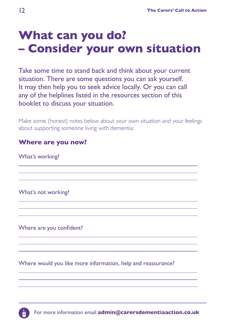# **What can you do? – Consider your own situation**

Take some time to stand back and think about your current situation. There are some questions you can ask yourself. It may then help you to seek advice locally. Or you can call any of the helplines listed in the resources section of this booklet to discuss your situation.

Make some (honest) notes below about your own situation and your feelings about supporting someone living with dementia:

| <b>Where are you now?</b> |  |  |
|---------------------------|--|--|
| What's working?           |  |  |
|                           |  |  |
| What's not working?       |  |  |
|                           |  |  |
| Where are you confident?  |  |  |
|                           |  |  |

Where would you like more information, help and reassurance?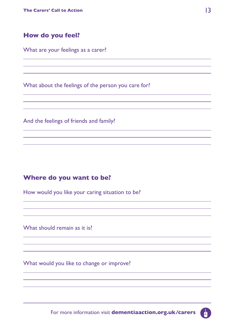#### **How do you feel?**

What are your feelings as a carer?

What about the feelings of the person you care for?

And the feelings of friends and family?

#### **Where do you want to be?**

How would you like your caring situation to be?

What should remain as it is?

What would you like to change or improve?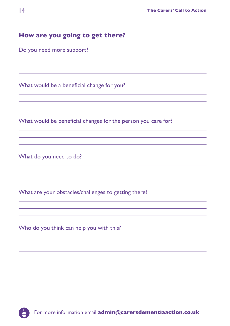#### **How are you going to get there?**

Do you need more support?

What would be a beneficial change for you?

What would be beneficial changes for the person you care for?

What do you need to do?

What are your obstacles/challenges to getting there?

Who do you think can help you with this?

<u> 1989 - Johann Barn, mars ann an t-Amhain ann an t-Amhain an t-Amhain an t-Amhain an t-Amhain an t-Amhain an t-</u>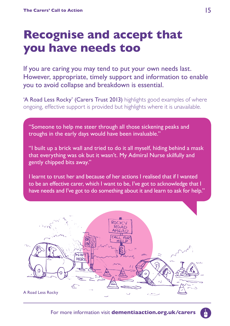## **Recognise and accept that you have needs too**

If you are caring you may tend to put your own needs last. However, appropriate, timely support and information to enable you to avoid collapse and breakdown is essential.

'A Road Less Rocky' (Carers Trust 2013) highlights good examples of where ongoing, effective support is provided but highlights where it is unavailable.

"Someone to help me steer through all those sickening peaks and troughs in the early days would have been invaluable."

"I built up a brick wall and tried to do it all myself, hiding behind a mask that everything was ok but it wasn't. My Admiral Nurse skilfully and gently chipped bits away."

I learnt to trust her and because of her actions I realised that if I wanted to be an effective carer, which I want to be, I've got to acknowledge that I have needs and I've got to do something about it and learn to ask for help."

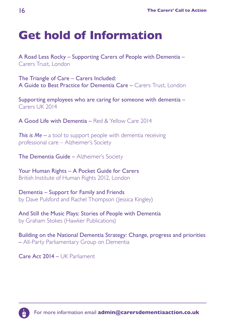# **Get hold of Information**

A Road Less Rocky – Supporting Carers of People with Dementia – Carers Trust, London

The Triangle of Care – Carers Included: A Guide to Best Practice for Dementia Care – Carers Trust, London

Supporting employees who are caring for someone with dementia – Carers UK 2014

A Good Life with Dementia – Red & Yellow Care 2014

*This is Me –* a tool to support people with dementia receiving professional care – Alzheimer's Society

The Dementia Guide – Alzheimer's Society

Your Human Rights – A Pocket Guide for Carers British Institute of Human Rights 2012, London

Dementia – Support for Family and Friends by Dave Pulsford and Rachel Thompson (Jessica Kingley)

And Still the Music Plays: Stories of People with Dementia by Graham Stokes (Hawker Publications)

Building on the National Dementia Strategy: Change, progress and priorities – All-Party Parliamentary Group on Dementia

Care Act 2014 – UK Parliament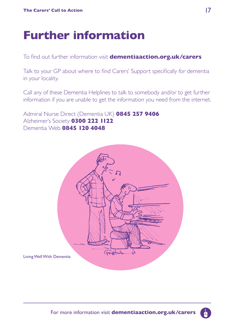### **Further information**

To find out further information visit **dementiaaction.org.uk/carers**

Talk to your GP about where to find Carers' Support specifically for dementia in your locality.

Call any of these Dementia Helplines to talk to somebody and/or to get further information if you are unable to get the information you need from the internet.

Admiral Nurse Direct (Dementia UK) **0845 257 9406** Alzheimer's Society **0300 222 1122** Dementia Web **0845 120 4048**

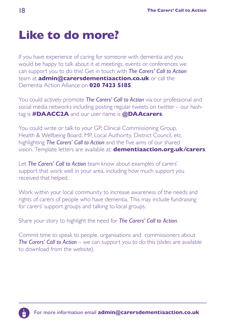### **Like to do more?**

If you have experience of caring for someone with dementia and you would be happy to talk about it at meetings, events or conferences we can support you to do this! Get in touch with *The Carers' Call to Action* team at **admin@carersdementiaaction.co.uk** or call the Dementia Action Alliance on **020 7423 5185**.

You could actively promote *The Carers' Call to Action* via our professional and social media networks including posting regular tweets on twitter – our hashtag is **#DAACC2A** and our user name is **@DAAcarers**.

You could write or talk to your GP, Clinical Commissioning Group, Health & Wellbeing Board, MP, Local Authority, District Council, etc. highlighting *The Carers' Call to Action* and the five aims of our shared vision. Template letters are available at: **dementiaaction.org.uk/carers**.

Let *The Carers' Call to Action* team know about examples of carers' support that work well in your area, including how much support you received that helped.

Work within your local community to increase awareness of the needs and rights of carers of people who have dementia. This may include fundraising for carers' support groups and talking to local groups.

Share your story to highlight the need for *The Carers' Call to Action*.

Commit time to speak to people, organisations and commissioners about *The Carers' Call to Action* – we can support you to do this (slides are available to download from the website).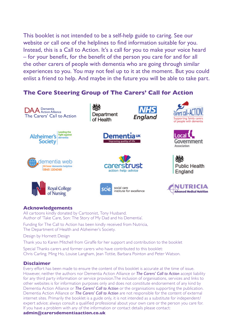This booklet is not intended to be a self-help guide to caring. See our website or call one of the helplines to find information suitable for you. Instead, this is a Call to Action. It's a call for you to make your voice heard – for your benefit, for the benefit of the person you care for and for all the other carers of people with dementia who are going through similar experiences to you. You may not feel up to it at the moment. But you could enlist a friend to help. And maybe in the future you will be able to take part.

#### **The Core Steering Group of The Carers' Call for Action**



#### **Acknowledgements**

All cartoons kindly donated by Cartoonist, Tony Husband. Author of 'Take Care, Son: The Story of My Dad and his Dementia'. Funding for The Call to Action has been kindly received from Nutricia, The Department of Health and Alzheimer's Society.

Design by Hornett Design

Thank you to Karen Mitchell from Giraffe for her support and contribution to the booklet

Special Thanks carers and former carers who have contributed to this booklet: Chris Carling. Ming Ho, Louise Langham, Jean Tottie, Barbara Pointon and Peter Watson.

#### **Disclaimer**

Every effort has been made to ensure the content of this booklet is accurate at the time of issue. However, neither the authors nor Dementia Action Alliance or *The Carers' Call to Action* accept liability for any third party information or service provision.The inclusion of organisations, services and links to other websites is for information purposes only and does not constitute endorsement of any kind by Dementia Action Alliance or *The Carers' Call to Action* or the organisations supporting the publication. Dementia Action Alliance or *The Carers' Call to Action* are not responsible for the content of external internet sites. Primarily the booklet is a guide only, it is not intended as a substitute for independent/ expert advice; always consult a qualified professional about your own care or the person you care for. If you have a problem with any of the information or contact details please contact: **admin@carersdementiaaction.co.uk**